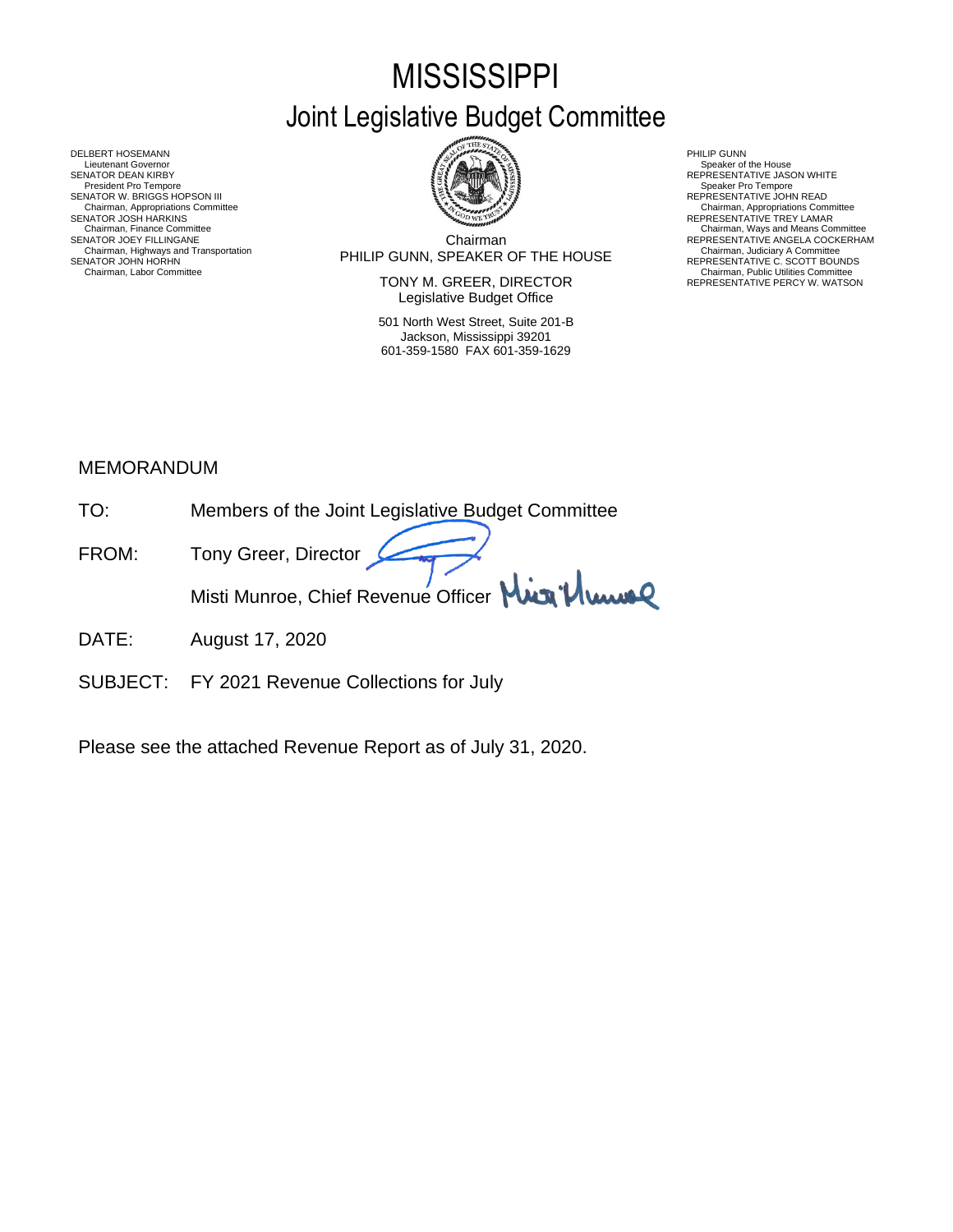# **MISSISSIPPI** Joint Legislative Budget Committee

Chairman PHILIP GUNN, SPEAKER OF THE HOUSE Chairman, Highways and Transportation Chairman, Judiciary A Committee SENATOR JOHN HORHN REPRESENTATIVE C. SCOTT BOUNDS SENATOR JOEY FILLINGANE ANGELA COCKERHAM DESCRIPTION CONTINUE ANGELA COCKERHAM Chairman POLITIC CLININ SERVED OF THE HOLLISE Chairman, Labor Committee Chairman, Labor Committee Chairman, Alighways and Transportation<br>
Chairman, Labor Committee Chairman, Labor Committee Chairman, Labor Committee Chairman, Labor Committee Chair<br>
Chairman, Labor Com

TONY M. GREER, DIRECTOR Legislative Budget Office

501 North West Street, Suite 201-B Jackson, Mississippi 39201 601-359-1580 FAX 601-359-1629

Chairman, Appropriations Committee<br>REPRESENTATIVE TREY LAMAR

REPRESENTATIVE PERCY W. WATSON

DELBERT HOSEMANN PHILIP GUNN<br>Lieutenant Governor Speaker of Speaker of Speaker of Speaker of Speaker of Speaker of Speaker of Speaker of Sp Lieutenant Governor Speaker of the House (Sepaker of the House Speaker of the House Speaker of the House Speaker of the House Speaker of the House Speaker of the House Speaker of the House Speaker of the House Speaker of t SENATOR DEAN KIRBY GERATOR DEAN KIRBY AND REPRESENTATIVE JASON WHITE<br>President Pro Tempore Speaker Pro Tempore Speaker Pro Tempore SENATOR W. BRIGGS HOPSON III READ AND READ AND READ AND REPRESENTATIVE JOHN READ Chairman, Appropriations Committee<br>SENATOR JOSH HARKINS<br>Chairman, Finance Committee Chairman, Finance Committee Committee Chairman, Ways and Means Committee Chairman, Ways and Means Committee Chairman<br>Chairman Chairman Chairman REPRESENTATIVE ANGELA COCKERHA

## MEMORANDUM

- TO: Members of the Joint Legislative Budget Committee
- FROM: Tony Greer, Director Misti Munroe, Chief Revenue Officer Mun Vlume
- DATE: August 17, 2020
- SUBJECT: FY 2021 Revenue Collections for July

Please see the attached Revenue Report as of July 31, 2020.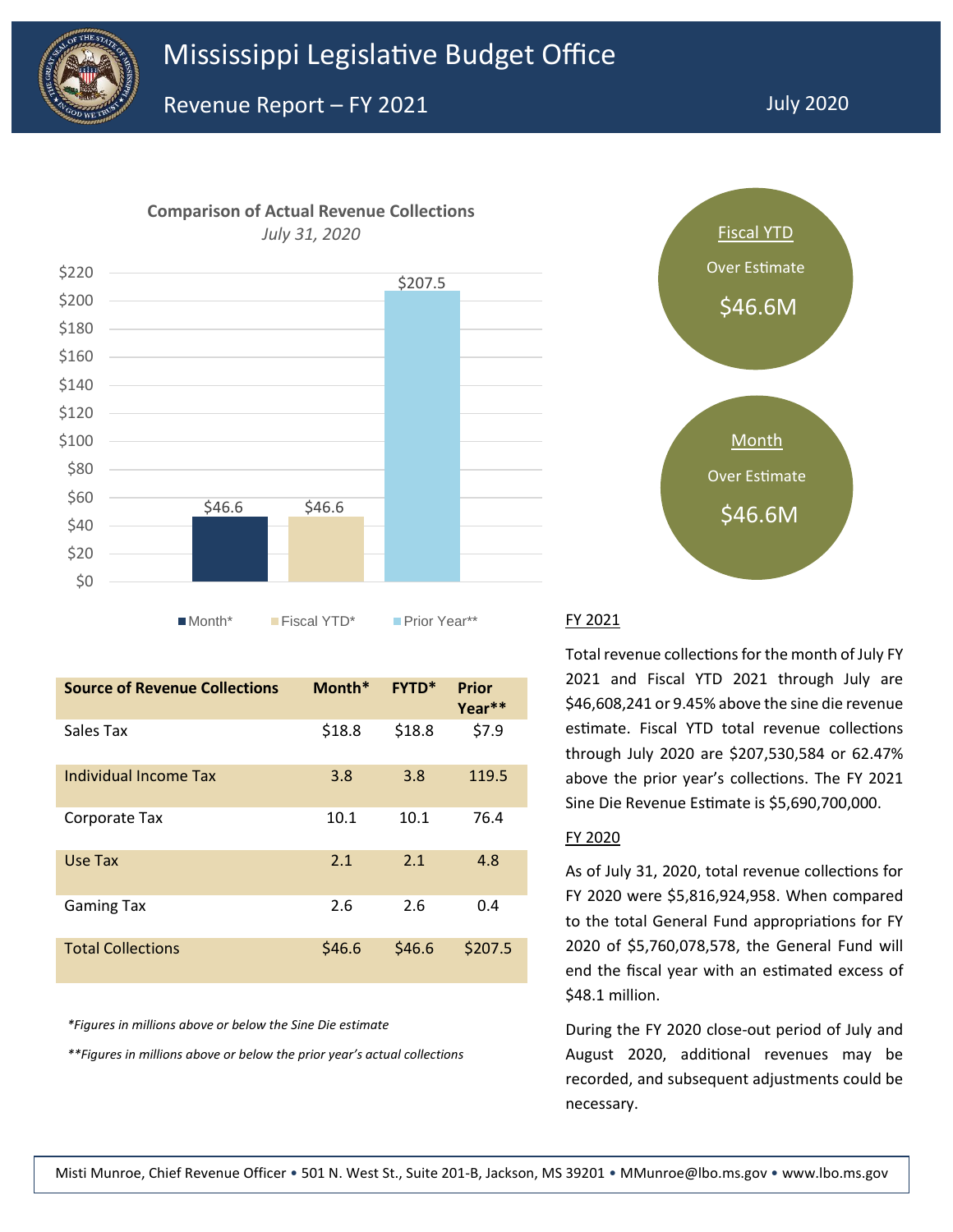

**Comparison of Actual Revenue Collections** 



■Month\* Fiscal YTD\* Prior Year\*\* FY 2021

| <b>Source of Revenue Collections</b> | Month* | <b>FYTD*</b> | <b>Prior</b><br>Year** |
|--------------------------------------|--------|--------------|------------------------|
| Sales Tax                            | \$18.8 | \$18.8       | \$7.9                  |
| Individual Income Tax                | 3.8    | 3.8          | 119.5                  |
| Corporate Tax                        | 10.1   | 10.1         | 76.4                   |
| Use Tax                              | 2.1    | 2.1          | 4.8                    |
| <b>Gaming Tax</b>                    | 2.6    | 2.6          | 0.4                    |
| <b>Total Collections</b>             | \$46.6 | \$46.6       | \$207.5                |

*\*Figures in millions above or below the Sine Die estimate*

*\*\*Figures in millions above or below the prior year's actual collections*



Total revenue collections for the month of July FY 2021 and Fiscal YTD 2021 through July are \$46,608,241 or 9.45% above the sine die revenue estimate. Fiscal YTD total revenue collections through July 2020 are \$207,530,584 or 62.47% above the prior year's collections. The FY 2021 Sine Die Revenue Estimate is \$5,690,700,000.

#### FY 2020

As of July 31, 2020, total revenue collections for FY 2020 were \$5,816,924,958. When compared to the total General Fund appropriations for FY 2020 of \$5,760,078,578, the General Fund will end the fiscal year with an estimated excess of \$48.1 million.

During the FY 2020 close-out period of July and August 2020, additional revenues may be recorded, and subsequent adjustments could be necessary.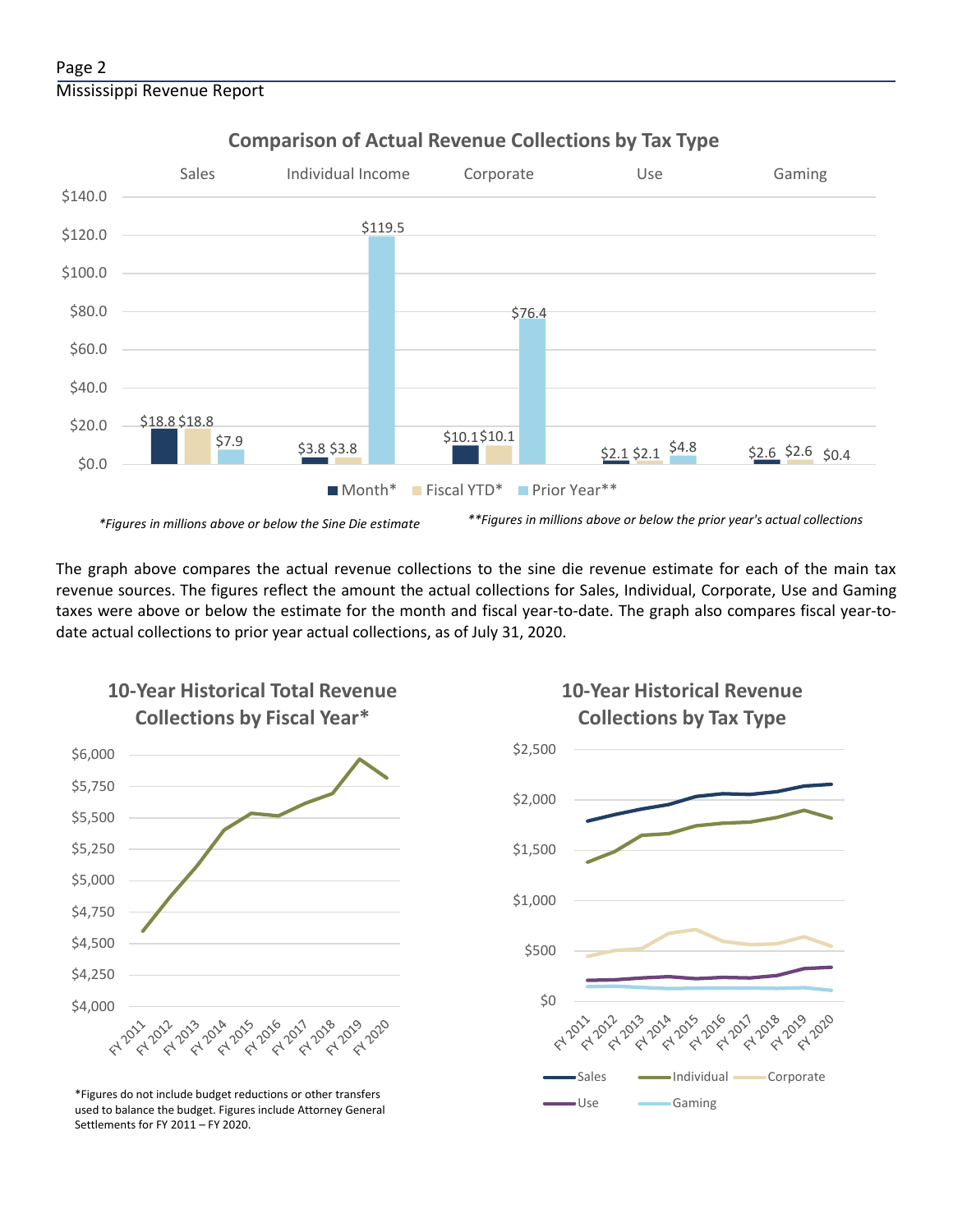#### Page 2 Mississippi Revenue Report



### **Comparison of Actual Revenue Collections by Tax Type**

The graph above compares the actual revenue collections to the sine die revenue estimate for each of the main tax revenue sources. The figures reflect the amount the actual collections for Sales, Individual, Corporate, Use and Gaming taxes were above or below the estimate for the month and fiscal year-to-date. The graph also compares fiscal year-todate actual collections to prior year actual collections, as of July 31, 2020.



**10-Year Historical Total Revenue** 

Use Gaming \*Figures do not include budget reductions or other transfers used to balance the budget. Figures include Attorney General Settlements for FY 2011 – FY 2020.

## **10-Year Historical Revenue Collections by Tax Type**

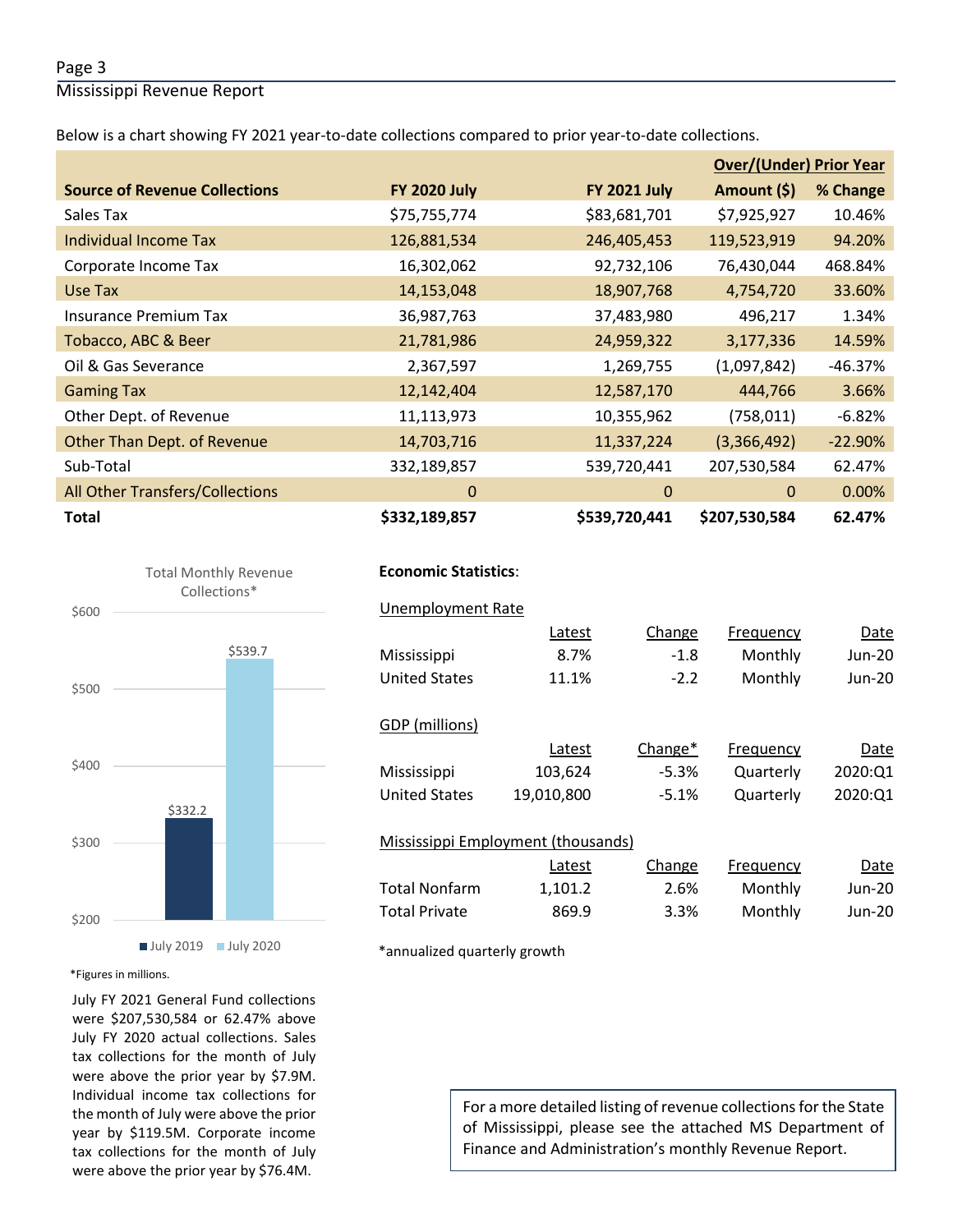#### Page 3

Mississippi Revenue Report

Below is a chart showing FY 2021 year-to-date collections compared to prior year-to-date collections.

|                                        |                     |                     | <b>Over/(Under) Prior Year</b> |           |  |
|----------------------------------------|---------------------|---------------------|--------------------------------|-----------|--|
| <b>Source of Revenue Collections</b>   | <b>FY 2020 July</b> | <b>FY 2021 July</b> | Amount (\$)                    | % Change  |  |
| Sales Tax                              | \$75,755,774        | \$83,681,701        | \$7,925,927                    | 10.46%    |  |
| Individual Income Tax                  | 126,881,534         | 246,405,453         | 119,523,919                    | 94.20%    |  |
| Corporate Income Tax                   | 16,302,062          | 92,732,106          | 76,430,044                     | 468.84%   |  |
| Use Tax                                | 14,153,048          | 18,907,768          | 4,754,720                      | 33.60%    |  |
| <b>Insurance Premium Tax</b>           | 36,987,763          | 37,483,980          | 496,217                        | 1.34%     |  |
| Tobacco, ABC & Beer                    | 21,781,986          | 24,959,322          | 3,177,336                      | 14.59%    |  |
| Oil & Gas Severance                    | 2,367,597           | 1,269,755           | (1,097,842)                    | $-46.37%$ |  |
| <b>Gaming Tax</b>                      | 12,142,404          | 12,587,170          | 444,766                        | 3.66%     |  |
| Other Dept. of Revenue                 | 11,113,973          | 10,355,962          | (758, 011)                     | $-6.82%$  |  |
| Other Than Dept. of Revenue            | 14,703,716          | 11,337,224          | (3,366,492)                    | $-22.90%$ |  |
| Sub-Total                              | 332,189,857         | 539,720,441         | 207,530,584                    | 62.47%    |  |
| <b>All Other Transfers/Collections</b> | 0                   | $\mathbf{0}$        | $\mathbf 0$                    | 0.00%     |  |
| <b>Total</b>                           | \$332,189,857       | \$539,720,441       | \$207,530,584                  | 62.47%    |  |



#### **July 2019** July 2020

\*Figures in millions.

July FY 2021 General Fund collections were \$207,530,584 or 62.47% above July FY 2020 actual collections. Sales tax collections for the month of July were above the prior year by \$7.9M. Individual income tax collections for the month of July were above the prior year by \$119.5M. Corporate income tax collections for the month of July were above the prior year by \$76.4M.

#### **Economic Statistics**:  **Economic Statistics**:

| <b>Unemployment Rate</b>           |            |         |           |         |
|------------------------------------|------------|---------|-----------|---------|
|                                    | Latest     | Change  | Frequency | Date    |
| Mississippi                        | 8.7%       | $-1.8$  | Monthly   | Jun-20  |
| <b>United States</b>               | 11.1%      | $-2.2$  | Monthly   | Jun-20  |
|                                    |            |         |           |         |
| GDP (millions)                     |            |         |           |         |
|                                    | Latest     | Change* | Frequency | Date    |
| Mississippi                        | 103,624    | $-5.3%$ | Quarterly | 2020:01 |
| <b>United States</b>               | 19,010,800 | $-5.1%$ | Quarterly | 2020:Q1 |
|                                    |            |         |           |         |
| Mississippi Employment (thousands) |            |         |           |         |
|                                    | Latest     | Change  | Frequency | Date    |
| <b>Total Nonfarm</b>               | 1,101.2    | 2.6%    | Monthly   | Jun-20  |
| <b>Total Private</b>               | 869.9      | 3.3%    | Monthly   | Jun-20  |
|                                    |            |         |           |         |

\*annualized quarterly growth

For a more detailed listing of revenue collections for the State of Mississippi, please see the attached MS Department of Finance and Administration's monthly Revenue Report.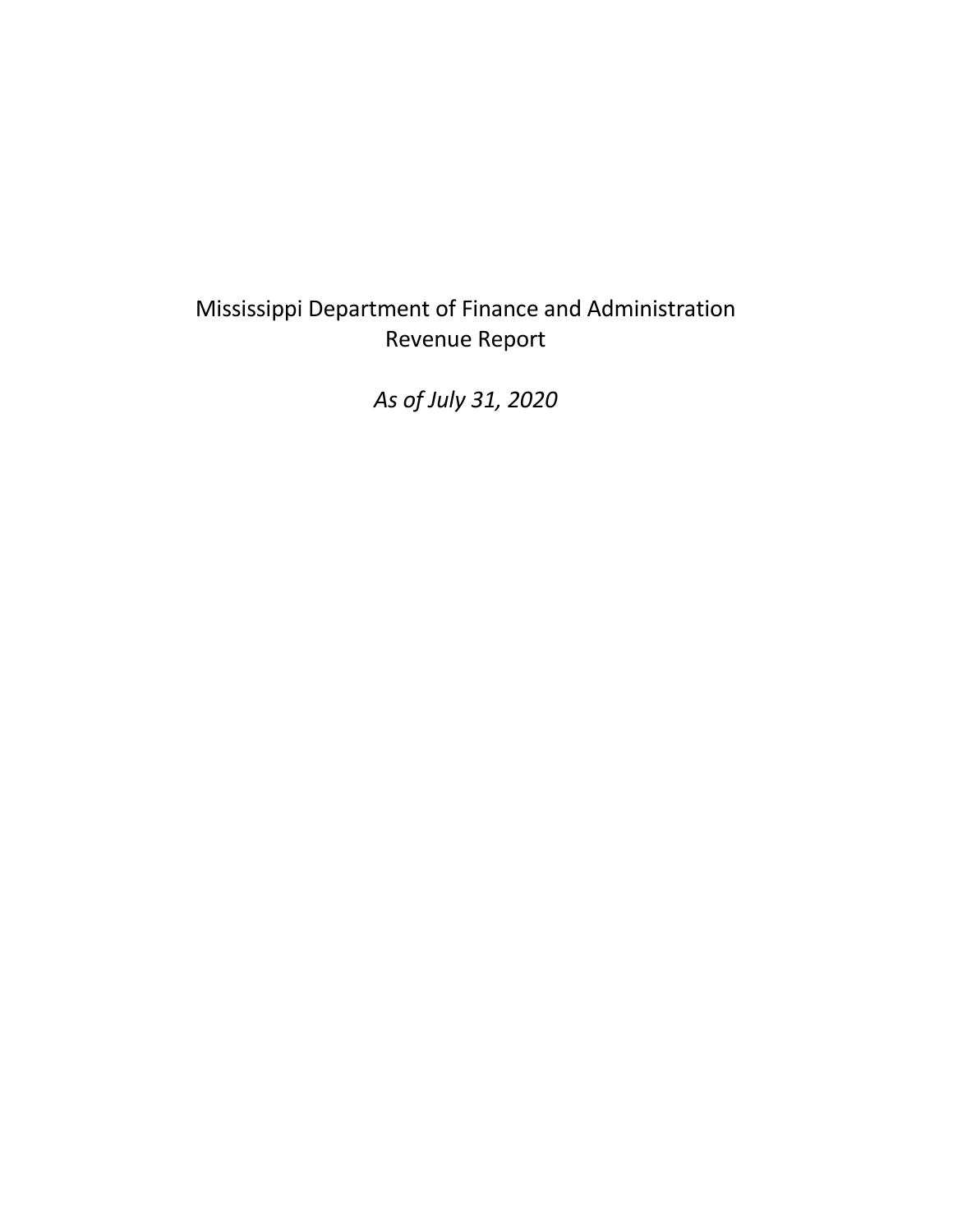# Mississippi Department of Finance and Administration Revenue Report

*As of July 31, 2020*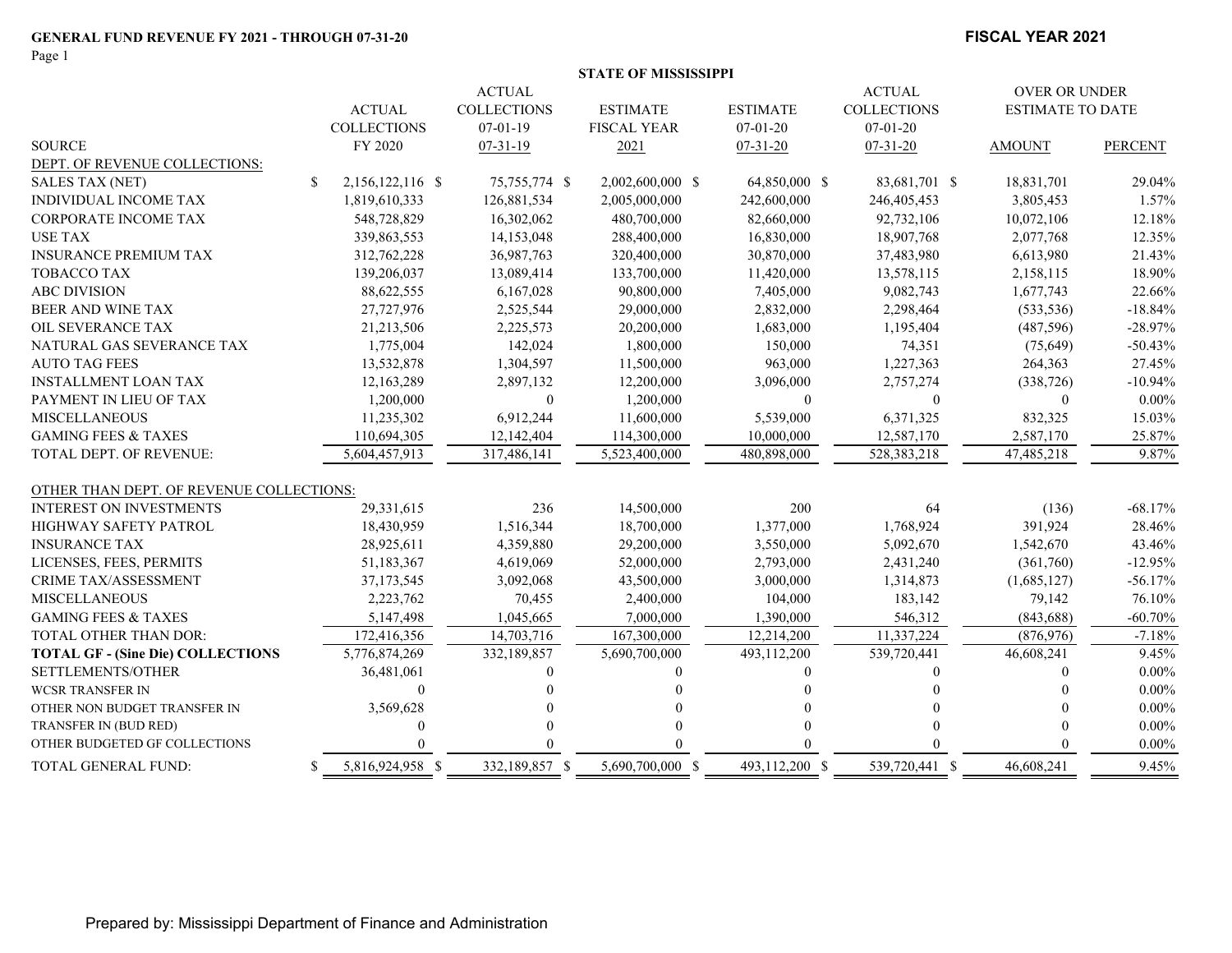Page 1

#### **FISCAL YEAR 2021**

|                                          |    |                    |                    | <b>STATE OF MISSISSIPPI</b> |                 |                      |                         |                |
|------------------------------------------|----|--------------------|--------------------|-----------------------------|-----------------|----------------------|-------------------------|----------------|
|                                          |    | <b>ACTUAL</b>      |                    |                             |                 | <b>OVER OR UNDER</b> |                         |                |
|                                          |    | <b>ACTUAL</b>      | <b>COLLECTIONS</b> | <b>ESTIMATE</b>             | <b>ESTIMATE</b> | <b>COLLECTIONS</b>   | <b>ESTIMATE TO DATE</b> |                |
|                                          |    | <b>COLLECTIONS</b> | $07-01-19$         | <b>FISCAL YEAR</b>          | $07-01-20$      | $07-01-20$           |                         |                |
| <b>SOURCE</b>                            |    | FY 2020            | $07 - 31 - 19$     | 2021                        | $07-31-20$      | $07 - 31 - 20$       | <b>AMOUNT</b>           | <b>PERCENT</b> |
| DEPT. OF REVENUE COLLECTIONS:            |    |                    |                    |                             |                 |                      |                         |                |
| <b>SALES TAX (NET)</b>                   | \$ | 2,156,122,116 \$   | 75,755,774 \$      | 2,002,600,000 \$            | 64,850,000 \$   | 83,681,701 \$        | 18,831,701              | 29.04%         |
| INDIVIDUAL INCOME TAX                    |    | 1,819,610,333      | 126,881,534        | 2,005,000,000               | 242,600,000     | 246,405,453          | 3,805,453               | 1.57%          |
| CORPORATE INCOME TAX                     |    | 548,728,829        | 16,302,062         | 480,700,000                 | 82,660,000      | 92,732,106           | 10,072,106              | 12.18%         |
| <b>USE TAX</b>                           |    | 339,863,553        | 14,153,048         | 288,400,000                 | 16,830,000      | 18,907,768           | 2,077,768               | 12.35%         |
| <b>INSURANCE PREMIUM TAX</b>             |    | 312,762,228        | 36,987,763         | 320,400,000                 | 30,870,000      | 37,483,980           | 6,613,980               | 21.43%         |
| TOBACCO TAX                              |    | 139,206,037        | 13,089,414         | 133,700,000                 | 11,420,000      | 13,578,115           | 2,158,115               | 18.90%         |
| <b>ABC DIVISION</b>                      |    | 88,622,555         | 6,167,028          | 90,800,000                  | 7,405,000       | 9,082,743            | 1,677,743               | 22.66%         |
| <b>BEER AND WINE TAX</b>                 |    | 27,727,976         | 2,525,544          | 29,000,000                  | 2,832,000       | 2,298,464            | (533, 536)              | $-18.84%$      |
| OIL SEVERANCE TAX                        |    | 21,213,506         | 2,225,573          | 20,200,000                  | 1,683,000       | 1,195,404            | (487, 596)              | $-28.97%$      |
| NATURAL GAS SEVERANCE TAX                |    | 1,775,004          | 142,024            | 1,800,000                   | 150,000         | 74,351               | (75, 649)               | $-50.43%$      |
| <b>AUTO TAG FEES</b>                     |    | 13,532,878         | 1,304,597          | 11,500,000                  | 963,000         | 1,227,363            | 264,363                 | 27.45%         |
| <b>INSTALLMENT LOAN TAX</b>              |    | 12,163,289         | 2,897,132          | 12,200,000                  | 3,096,000       | 2,757,274            | (338, 726)              | $-10.94%$      |
| PAYMENT IN LIEU OF TAX                   |    | 1,200,000          | $\Omega$           | 1,200,000                   | $\mathbf{0}$    | 0                    | $\theta$                | $0.00\%$       |
| <b>MISCELLANEOUS</b>                     |    | 11,235,302         | 6,912,244          | 11,600,000                  | 5,539,000       | 6,371,325            | 832,325                 | 15.03%         |
| <b>GAMING FEES &amp; TAXES</b>           |    | 110,694,305        | 12,142,404         | 114,300,000                 | 10,000,000      | 12,587,170           | 2,587,170               | 25.87%         |
| TOTAL DEPT. OF REVENUE:                  |    | 5,604,457,913      | 317,486,141        | 5,523,400,000               | 480,898,000     | 528,383,218          | 47,485,218              | 9.87%          |
| OTHER THAN DEPT. OF REVENUE COLLECTIONS: |    |                    |                    |                             |                 |                      |                         |                |
| <b>INTEREST ON INVESTMENTS</b>           |    | 29,331,615         | 236                | 14,500,000                  | 200             | 64                   | (136)                   | $-68.17%$      |
| HIGHWAY SAFETY PATROL                    |    | 18,430,959         | 1,516,344          | 18,700,000                  | 1,377,000       | 1,768,924            | 391,924                 | 28.46%         |
| <b>INSURANCE TAX</b>                     |    | 28,925,611         | 4,359,880          | 29,200,000                  | 3,550,000       | 5,092,670            | 1,542,670               | 43.46%         |
| LICENSES, FEES, PERMITS                  |    | 51,183,367         | 4,619,069          | 52,000,000                  | 2,793,000       | 2,431,240            | (361,760)               | $-12.95%$      |
| CRIME TAX/ASSESSMENT                     |    | 37,173,545         | 3,092,068          | 43,500,000                  | 3,000,000       | 1,314,873            | (1,685,127)             | $-56.17%$      |
| <b>MISCELLANEOUS</b>                     |    | 2,223,762          | 70,455             | 2,400,000                   | 104,000         | 183,142              | 79,142                  | 76.10%         |
| <b>GAMING FEES &amp; TAXES</b>           |    | 5,147,498          | 1,045,665          | 7,000,000                   | 1,390,000       | 546,312              | (843, 688)              | $-60.70%$      |
| TOTAL OTHER THAN DOR:                    |    | 172,416,356        | 14,703,716         | 167,300,000                 | 12,214,200      | 11,337,224           | (876, 976)              | $-7.18%$       |
| <b>TOTAL GF - (Sine Die) COLLECTIONS</b> |    | 5,776,874,269      | 332,189,857        | 5,690,700,000               | 493,112,200     | 539,720,441          | 46,608,241              | 9.45%          |
| SETTLEMENTS/OTHER                        |    | 36,481,061         | $\theta$           |                             | 0               | 0                    | $\theta$                | $0.00\%$       |
| <b>WCSR TRANSFER IN</b>                  |    | $\theta$           |                    |                             |                 |                      |                         | $0.00\%$       |
| OTHER NON BUDGET TRANSFER IN             |    | 3,569,628          |                    |                             |                 |                      |                         | $0.00\%$       |
| TRANSFER IN (BUD RED)                    |    |                    |                    |                             |                 |                      |                         | $0.00\%$       |
| OTHER BUDGETED GF COLLECTIONS            |    |                    |                    |                             |                 |                      |                         | $0.00\%$       |
| TOTAL GENERAL FUND:                      | S. | 5,816,924,958 \$   | 332,189,857 \$     | 5.690.700.000 \$            | 493,112,200 \$  | 539,720,441 \$       | 46,608,241              | 9.45%          |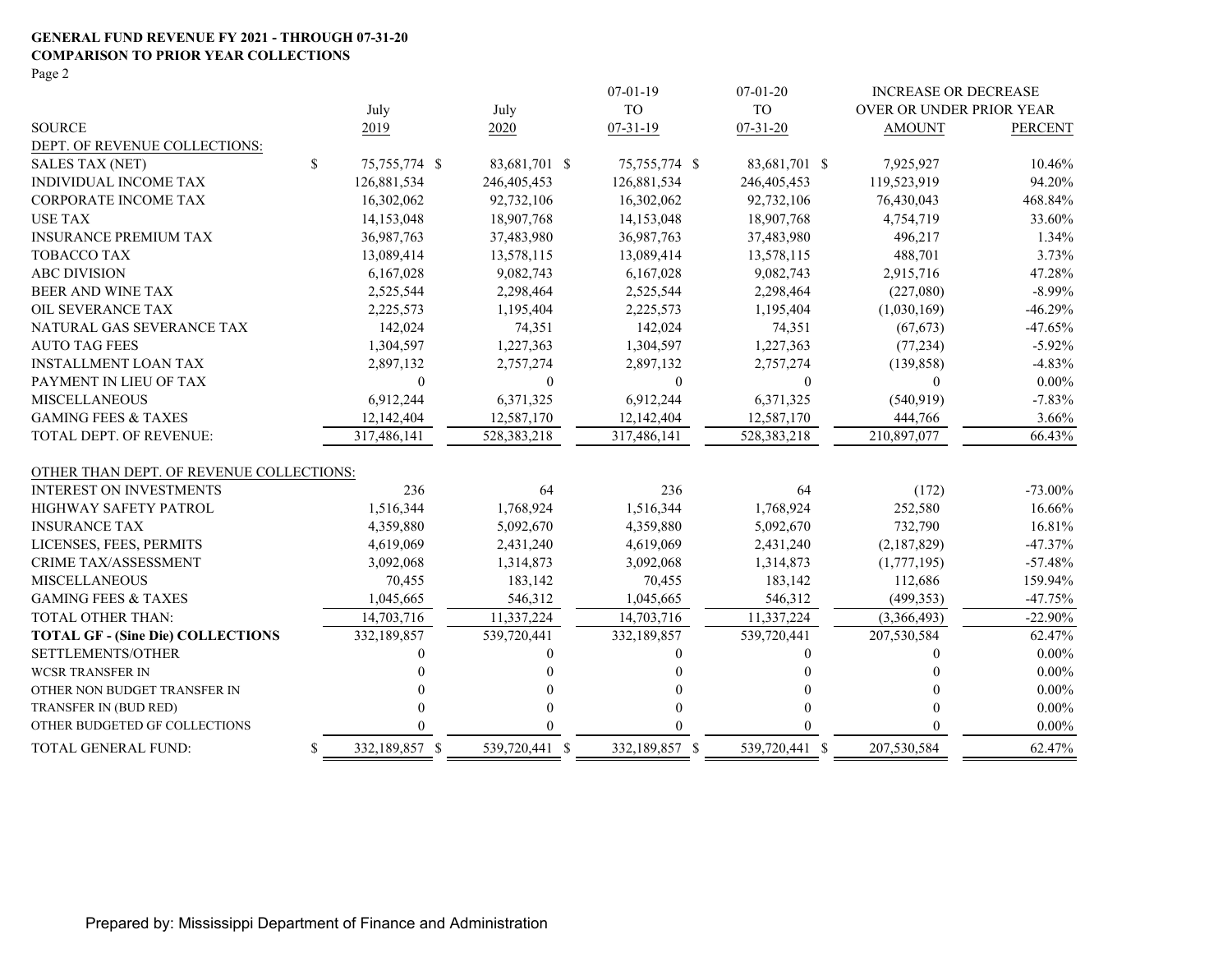#### **GENERAL FUND REVENUE FY 2021 - THROUGH 07-31-20 COMPARISON TO PRIOR YEAR COLLECTIONS**

Page 2

|                                          |                      |                | $07-01-19$       | $07 - 01 - 20$ | <b>INCREASE OR DECREASE</b> |                |
|------------------------------------------|----------------------|----------------|------------------|----------------|-----------------------------|----------------|
|                                          | July                 | July           | <b>TO</b>        | <b>TO</b>      | OVER OR UNDER PRIOR YEAR    |                |
| <b>SOURCE</b>                            | 2019                 | 2020           | $07 - 31 - 19$   | $07 - 31 - 20$ | <b>AMOUNT</b>               | <b>PERCENT</b> |
| DEPT. OF REVENUE COLLECTIONS:            |                      |                |                  |                |                             |                |
| <b>SALES TAX (NET)</b>                   | \$<br>75,755,774 \$  | 83,681,701 \$  | 75,755,774 \$    | 83,681,701 \$  | 7,925,927                   | 10.46%         |
| <b>INDIVIDUAL INCOME TAX</b>             | 126,881,534          | 246,405,453    | 126,881,534      | 246,405,453    | 119,523,919                 | 94.20%         |
| <b>CORPORATE INCOME TAX</b>              | 16,302,062           | 92,732,106     | 16,302,062       | 92,732,106     | 76,430,043                  | 468.84%        |
| <b>USE TAX</b>                           | 14,153,048           | 18,907,768     | 14,153,048       | 18,907,768     | 4,754,719                   | 33.60%         |
| <b>INSURANCE PREMIUM TAX</b>             | 36,987,763           | 37,483,980     | 36,987,763       | 37,483,980     | 496,217                     | 1.34%          |
| <b>TOBACCO TAX</b>                       | 13,089,414           | 13,578,115     | 13,089,414       | 13,578,115     | 488,701                     | 3.73%          |
| <b>ABC DIVISION</b>                      | 6,167,028            | 9,082,743      | 6,167,028        | 9,082,743      | 2,915,716                   | 47.28%         |
| <b>BEER AND WINE TAX</b>                 | 2,525,544            | 2,298,464      | 2,525,544        | 2,298,464      | (227,080)                   | $-8.99%$       |
| OIL SEVERANCE TAX                        | 2,225,573            | 1,195,404      | 2,225,573        | 1,195,404      | (1,030,169)                 | $-46.29%$      |
| NATURAL GAS SEVERANCE TAX                | 142,024              | 74,351         | 142,024          | 74,351         | (67, 673)                   | $-47.65%$      |
| <b>AUTO TAG FEES</b>                     | 1,304,597            | 1,227,363      | 1,304,597        | 1,227,363      | (77, 234)                   | $-5.92%$       |
| <b>INSTALLMENT LOAN TAX</b>              | 2,897,132            | 2,757,274      | 2,897,132        | 2,757,274      | (139, 858)                  | $-4.83%$       |
| PAYMENT IN LIEU OF TAX                   | $\theta$             | $\mathbf{0}$   | $\boldsymbol{0}$ | $\mathbf{0}$   | $\theta$                    | $0.00\%$       |
| <b>MISCELLANEOUS</b>                     | 6,912,244            | 6,371,325      | 6,912,244        | 6,371,325      | (540, 919)                  | $-7.83%$       |
| <b>GAMING FEES &amp; TAXES</b>           | 12,142,404           | 12,587,170     | 12,142,404       | 12,587,170     | 444,766                     | 3.66%          |
| TOTAL DEPT. OF REVENUE:                  | 317,486,141          | 528, 383, 218  | 317,486,141      | 528,383,218    | 210,897,077                 | 66.43%         |
| OTHER THAN DEPT. OF REVENUE COLLECTIONS: |                      |                |                  |                |                             |                |
| <b>INTEREST ON INVESTMENTS</b>           | 236                  | 64             | 236              | 64             | (172)                       | $-73.00\%$     |
| <b>HIGHWAY SAFETY PATROL</b>             | 1,516,344            | 1,768,924      | 1,516,344        | 1,768,924      | 252,580                     | 16.66%         |
| <b>INSURANCE TAX</b>                     | 4,359,880            | 5,092,670      | 4,359,880        | 5,092,670      | 732,790                     | 16.81%         |
| LICENSES, FEES, PERMITS                  | 4,619,069            | 2,431,240      | 4,619,069        | 2,431,240      | (2,187,829)                 | $-47.37%$      |
| CRIME TAX/ASSESSMENT                     | 3,092,068            | 1,314,873      | 3,092,068        | 1,314,873      | (1,777,195)                 | $-57.48%$      |
| <b>MISCELLANEOUS</b>                     | 70,455               | 183,142        | 70,455           | 183,142        | 112,686                     | 159.94%        |
| <b>GAMING FEES &amp; TAXES</b>           | 1,045,665            | 546,312        | 1,045,665        | 546,312        | (499, 353)                  | $-47.75%$      |
| TOTAL OTHER THAN:                        | 14,703,716           | 11,337,224     | 14,703,716       | 11,337,224     | (3,366,493)                 | $-22.90%$      |
| <b>TOTAL GF - (Sine Die) COLLECTIONS</b> | 332,189,857          | 539,720,441    | 332,189,857      | 539,720,441    | 207,530,584                 | 62.47%         |
| SETTLEMENTS/OTHER                        |                      |                | $\theta$         |                | 0                           | $0.00\%$       |
| <b>WCSR TRANSFER IN</b>                  |                      |                |                  |                |                             | $0.00\%$       |
| OTHER NON BUDGET TRANSFER IN             |                      |                |                  |                |                             | $0.00\%$       |
| TRANSFER IN (BUD RED)                    |                      |                |                  |                | 0                           | $0.00\%$       |
| OTHER BUDGETED GF COLLECTIONS            |                      |                |                  |                | 0                           | $0.00\%$       |
| TOTAL GENERAL FUND:                      | \$<br>332,189,857 \$ | 539,720,441 \$ | 332,189,857 \$   | 539,720,441 \$ | 207,530,584                 | 62.47%         |